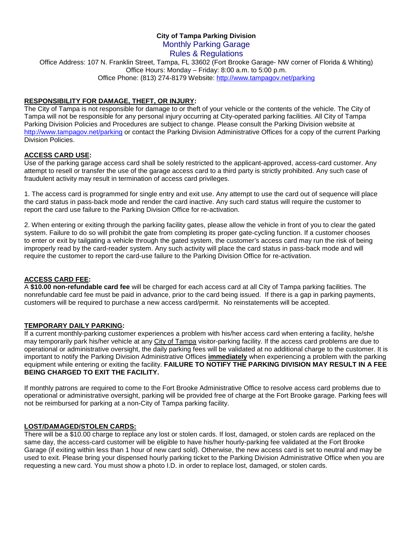# **City of Tampa Parking Division** Monthly Parking Garage

# Rules & Regulations

Office Address: 107 N. Franklin Street, Tampa, FL 33602 (Fort Brooke Garage- NW corner of Florida & Whiting) Office Hours: Monday – Friday: 8:00 a.m. to 5:00 p.m. Office Phone: (813) 274-8179 Website:<http://www.tampagov.net/parking>

# **RESPONSIBILITY FOR DAMAGE, THEFT, OR INJURY:**

The City of Tampa is not responsible for damage to or theft of your vehicle or the contents of the vehicle. The City of Tampa will not be responsible for any personal injury occurring at City-operated parking facilities. All City of Tampa Parking Division Policies and Procedures are subject to change. Please consult the Parking Division website at <http://www.tampagov.net/parking> or contact the Parking Division Administrative Offices for a copy of the current Parking Division Policies.

# **ACCESS CARD USE:**

Use of the parking garage access card shall be solely restricted to the applicant-approved, access-card customer. Any attempt to resell or transfer the use of the garage access card to a third party is strictly prohibited. Any such case of fraudulent activity may result in termination of access card privileges.

1. The access card is programmed for single entry and exit use. Any attempt to use the card out of sequence will place the card status in pass-back mode and render the card inactive. Any such card status will require the customer to report the card use failure to the Parking Division Office for re-activation.

2. When entering or exiting through the parking facility gates, please allow the vehicle in front of you to clear the gated system. Failure to do so will prohibit the gate from completing its proper gate-cycling function. If a customer chooses to enter or exit by tailgating a vehicle through the gated system, the customer's access card may run the risk of being improperly read by the card-reader system. Any such activity will place the card status in pass-back mode and will require the customer to report the card-use failure to the Parking Division Office for re-activation.

# **ACCESS CARD FEE:**

A **\$10.00 non-refundable card fee** will be charged for each access card at all City of Tampa parking facilities. The nonrefundable card fee must be paid in advance, prior to the card being issued. If there is a gap in parking payments, customers will be required to purchase a new access card/permit. No reinstatements will be accepted.

# **TEMPORARY DAILY PARKING:**

If a current monthly-parking customer experiences a problem with his/her access card when entering a facility, he/she may temporarily park his/her vehicle at any City of Tampa visitor-parking facility. If the access card problems are due to operational or administrative oversight, the daily parking fees will be validated at no additional charge to the customer. It is important to notify the Parking Division Administrative Offices **immediately** when experiencing a problem with the parking equipment while entering or exiting the facility. **FAILURE TO NOTIFY THE PARKING DIVISION MAY RESULT IN A FEE BEING CHARGED TO EXIT THE FACILITY.**

If monthly patrons are required to come to the Fort Brooke Administrative Office to resolve access card problems due to operational or administrative oversight, parking will be provided free of charge at the Fort Brooke garage. Parking fees will not be reimbursed for parking at a non-City of Tampa parking facility.

# **LOST/DAMAGED/STOLEN CARDS:**

There will be a \$10.00 charge to replace any lost or stolen cards. If lost, damaged, or stolen cards are replaced on the same day, the access-card customer will be eligible to have his/her hourly-parking fee validated at the Fort Brooke Garage (if exiting within less than 1 hour of new card sold). Otherwise, the new access card is set to neutral and may be used to exit. Please bring your dispensed hourly parking ticket to the Parking Division Administrative Office when you are requesting a new card. You must show a photo I.D. in order to replace lost, damaged, or stolen cards.